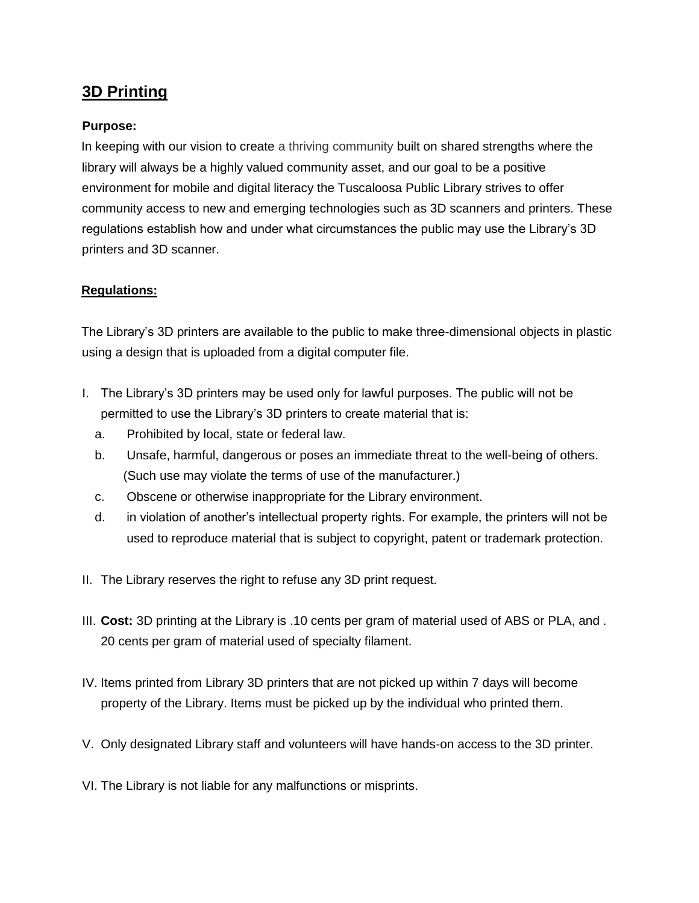## **3D Printing**

## **Purpose:**

In keeping with our vision to create a thriving community built on shared strengths where the library will always be a highly valued community asset, and our goal to be a positive environment for mobile and digital literacy the Tuscaloosa Public Library strives to offer community access to new and emerging technologies such as 3D scanners and printers. These regulations establish how and under what circumstances the public may use the Library's 3D printers and 3D scanner.

## **Regulations:**

The Library's 3D printers are available to the public to make three-dimensional objects in plastic using a design that is uploaded from a digital computer file.

- I. The Library's 3D printers may be used only for lawful purposes. The public will not be permitted to use the Library's 3D printers to create material that is:
	- a. Prohibited by local, state or federal law.
	- b. Unsafe, harmful, dangerous or poses an immediate threat to the well-being of others. (Such use may violate the terms of use of the manufacturer.)
	- c. Obscene or otherwise inappropriate for the Library environment.
	- d. in violation of another's intellectual property rights. For example, the printers will not be used to reproduce material that is subject to copyright, patent or trademark protection.
- II. The Library reserves the right to refuse any 3D print request.
- III. **Cost:** 3D printing at the Library is .10 cents per gram of material used of ABS or PLA, and . 20 cents per gram of material used of specialty filament.
- IV. Items printed from Library 3D printers that are not picked up within 7 days will become property of the Library. Items must be picked up by the individual who printed them.
- V. Only designated Library staff and volunteers will have hands-on access to the 3D printer.
- VI. The Library is not liable for any malfunctions or misprints.